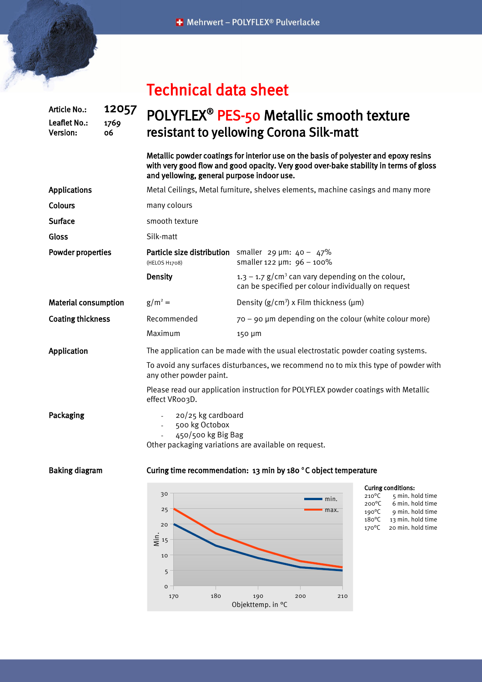| <b>Technical data sheet</b> |  |  |
|-----------------------------|--|--|
|-----------------------------|--|--|

## Article No.: 12057 Leaflet No.: 1769 Version: 06 POLYFLEX<sup>®</sup> PES-50 Metallic smooth texture resistant to yellowing Corona Silk-matt

Metallic powder coatings for interior use on the basis of polyester and epoxy resins with very good flow and good opacity. Very good over-bake stability in terms of gloss and yellowing, general purpose indoor use.

| <b>Applications</b>         | Metal Ceilings, Metal furniture, shelves elements, machine casings and many more                                   |                                                                                                            |  |  |  |
|-----------------------------|--------------------------------------------------------------------------------------------------------------------|------------------------------------------------------------------------------------------------------------|--|--|--|
| <b>Colours</b>              | many colours                                                                                                       |                                                                                                            |  |  |  |
| <b>Surface</b>              | smooth texture                                                                                                     |                                                                                                            |  |  |  |
| Gloss                       | Silk-matt                                                                                                          |                                                                                                            |  |  |  |
| Powder properties           | (HELOS H1708)                                                                                                      | <b>Particle size distribution</b> smaller 29 $\mu$ m: 40 - 47%<br>smaller 122 $\mu$ m: 96 - 100%           |  |  |  |
|                             | <b>Density</b>                                                                                                     | 1.3 – 1.7 $g/cm3$ can vary depending on the colour,<br>can be specified per colour individually on request |  |  |  |
| <b>Material consumption</b> | $g/m^2 =$                                                                                                          | Density $(g/cm^3)$ x Film thickness ( $\mu$ m)                                                             |  |  |  |
| <b>Coating thickness</b>    | Recommended                                                                                                        | $70 - 90$ µm depending on the colour (white colour more)                                                   |  |  |  |
|                             | Maximum                                                                                                            | 150 µm                                                                                                     |  |  |  |
| Application                 | The application can be made with the usual electrostatic powder coating systems.                                   |                                                                                                            |  |  |  |
|                             | To avoid any surfaces disturbances, we recommend no to mix this type of powder with<br>any other powder paint.     |                                                                                                            |  |  |  |
|                             | Please read our application instruction for POLYFLEX powder coatings with Metallic<br>effect VRoo3D.               |                                                                                                            |  |  |  |
| Packaging                   | 20/25 kg cardboard<br>500 kg Octobox<br>450/500 kg Big Bag<br>Other packaging variations are available on request. |                                                                                                            |  |  |  |
| <b>Baking diagram</b>       | Curing time recommendation: 13 min by 180 °C object temperature                                                    |                                                                                                            |  |  |  |
|                             |                                                                                                                    |                                                                                                            |  |  |  |



**Curing conditions:**<br> $210^{\circ}$ C 5 min. ho

 $210^{\circ}$ C 5 min. hold time<br> $200^{\circ}$ C 6 min. hold time  $200^{\circ}$ C 6 min. hold time<br> $190^{\circ}$ C 9 min. hold time 190 $^{\circ}$ C 9 min. hold time<br>180 $^{\circ}$ C 13 min. hold time 13 min. hold time 170°C 20 min. hold time